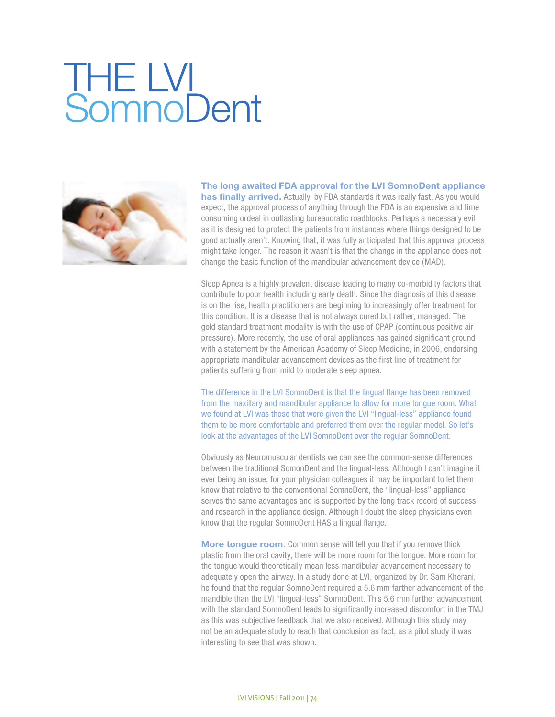## **THE LV! SomnoDent**



**The long awaited FDA approval for the LVI SomnoDent appliance has finally arrived.** Actually, by FDA standards it was really fast. As you would expect, the approval process of anything through the FDA is an expensive and time consuming ordeal in outlasting bureaucratic roadblocks. Perhaps a necessary evil as it is designed to protect the patients from instances where things designed to be good actually aren't. Knowing that, it was fully anticipated that this approval process might take longer. The reason it wasn't is that the change in the appliance does not change the basic function of the mandibular advancement device (MAD).

Sleep Apnea is a highly prevalent disease leading to many co-morbidity factors that contribute to poor health including early death. Since the diagnosis of this disease is on the rise, health practitioners are beginning to increasingly offer treatment for this condition. It is a disease that is not always cured but rather, managed. The gold standard treatment modality is with the use of CPAP (continuous positive air pressure). More recently, the use of oral appliances has gained significant ground with a statement by the American Academy of Sleep Medicine, in 2006, endorsing appropriate mandibular advancement devices as the first line of treatment for patients suffering from mild to moderate sleep apnea.

The difference in the LVI SomnoDent is that the lingual flange has been removed from the maxillary and mandibular appliance to allow for more tongue room. What we found at LVI was those that were given the LVI "lingual-less" appliance found them to be more comfortable and preferred them over the regular model. So let's look at the advantages of the LVI SomnoDent over the regular SomnoDent.

Obviously as Neuromuscular dentists we can see the common-sense differences between the traditional SomonDent and the lingual-less. Although I can't imagine it ever being an issue, for your physician colleagues it may be important to let them know that relative to the conventional SomnoDent, the "lingual-less" appliance serves the same advantages and is supported by the long track record of success and research in the appliance design. Although I doubt the sleep physicians even know that the regular SomnoDent HAS a lingual flange.

**More tongue room.** Common sense will tell you that if you remove thick plastic from the oral cavity, there will be more room for the tongue. More room for the tongue would theoretically mean less mandibular advancement necessary to adequately open the airway. In a study done at LVI, organized by Dr. Sam Kherani, he found that the regular SomnoDent required a 5.6 mm farther advancement of the mandible than the LVI "lingual-less" SomnoDent. This 5.6 mm further advancement with the standard SomnoDent leads to significantly increased discomfort in the TMJ as this was subjective feedback that we also received. Although this study may not be an adequate study to reach that conclusion as fact, as a pilot study it was interesting to see that was shown.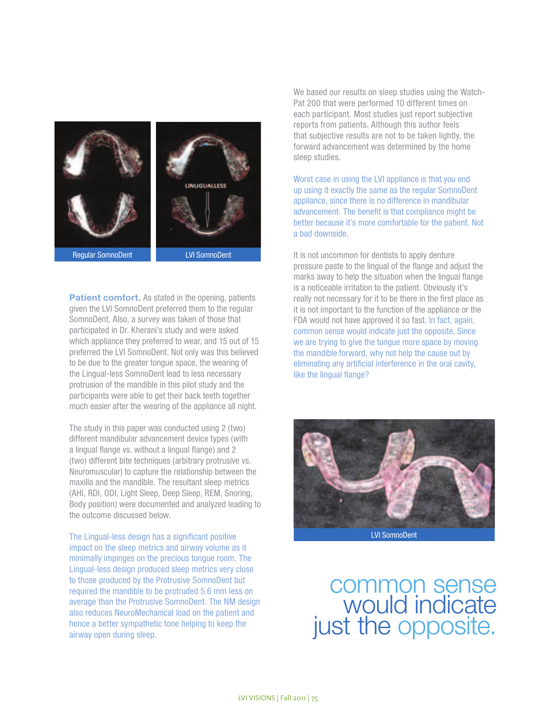

**Patient comfort.** As stated in the opening, patients given the LVI SomnoDent preferred them to the regular SomnoDent. Also, a survey was taken of those that participated in Dr. Kherani's study and were asked which appliance they preferred to wear, and 15 out of 15 preferred the LVI SomnoDent. Not only was this believed

to be due to the greater tongue space, the wearing of the Lingual-less SomnoDent lead to less necessary protrusion of the mandible in this pilot study and the participants were able to get their back teeth together much easier after the wearing of the appliance all night.

The study in this paper was conducted using 2 (two) different mandibular advancement device types (with a lingual flange vs. without a lingual flange) and 2 (two) different bite techniques (arbitrary protrusive vs. Neuromuscular) to capture the relationship between the maxilla and the mandible. The resultant sleep metrics (AHI, RDI, ODI, Light Sleep, Deep Sleep, REM, Snoring, Body position) were documented and analyzed leading to the outcome discussed below.

The Lingual-less design has a significant positive impact on the sleep metrics and airway volume as it minimally impinges on the precious tongue room. The Lingual-less design produced sleep metrics very close to those produced by the Protrusive SomnoDent but required the mandible to be protruded 5.6 mm less on average than the Protrusive SomnoDent. The NM design also reduces NeuroMechanical load on the patient and hence a better sympathetic tone helping to keep the airway open during sleep.

We based our results on sleep studies using the Watch-Pat 200 that were performed 10 different times on each participant. Most studies just report subjective reports from patients. Although this author feels that subjective results are not to be taken lightly, the forward advancement was determined by the home sleep studies.

Worst case in using the LVI appliance is that you end up using it exactly the same as the regular SomnoDent appliance, since there is no difference in mandibular advancement. The benefit is that compliance might be better because it's more comfortable for the patient. Not a bad downside.

It is not uncommon for dentists to apply denture pressure paste to the lingual of the flange and adjust the marks away to help the situation when the lingual flange is a noticeable irritation to the patient. Obviously it's really not necessary for it to be there in the first place as it is not important to the function of the appliance or the FDA would not have approved it so fast. In fact, again, common sense would indicate just the opposite. Since we are trying to give the tongue more space by moving the mandible forward, why not help the cause out by eliminating any artificial interference in the oral cavity, like the lingual flange?



LVI SomnoDent

common sense would indicate just the opposite.